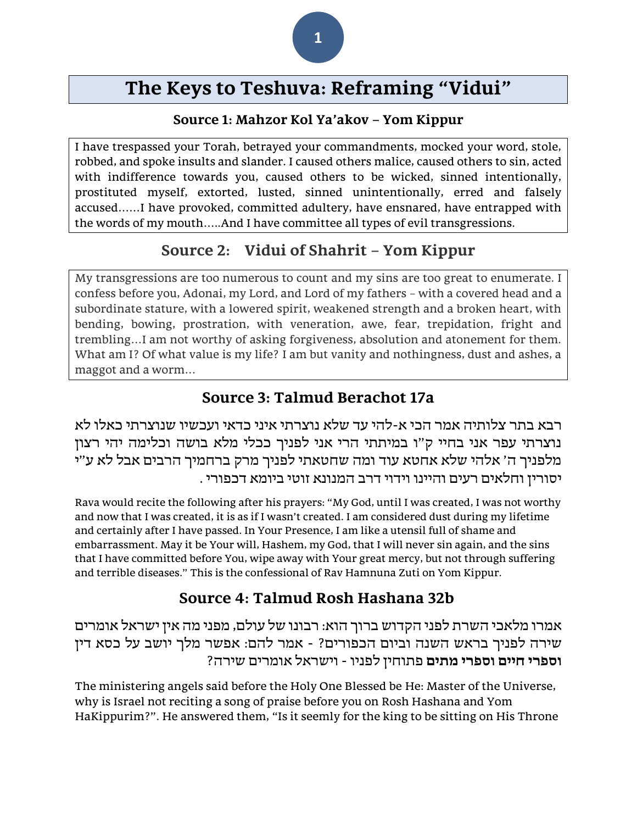# **The Keys to Teshuva: Reframing "Vidui"**

#### **Source 1: Mahzor Kol Ya'akov – Yom Kippur**

I have trespassed your Torah, betrayed your commandments, mocked your word, stole, robbed, and spoke insults and slander. I caused others malice, caused others to sin, acted with indifference towards you, caused others to be wicked, sinned intentionally, prostituted myself, extorted, lusted, sinned unintentionally, erred and falsely accused……I have provoked, committed adultery, have ensnared, have entrapped with the words of my mouth…..And I have committee all types of evil transgressions.

# **Source 2: Vidui of Shahrit – Yom Kippur**

My transgressions are too numerous to count and my sins are too great to enumerate. I confess before you, Adonai, my Lord, and Lord of my fathers – with a covered head and a subordinate stature, with a lowered spirit, weakened strength and a broken heart, with bending, bowing, prostration, with veneration, awe, fear, trepidation, fright and trembling…I am not worthy of asking forgiveness, absolution and atonement for them. What am I? Of what value is my life? I am but vanity and nothingness, dust and ashes, a maggot and a worm…

## **Source 3: Talmud Berachot 17a**

רבא בתר צלותיה אמר הכי א-להי עד שלא נוצרתי איני כדאי ועכשיו שנוצרתי כאלו לא נוצרתי עפר אני בחיי ק"ו במיתתי הרי אני לפניך ככלי מלא בושה וכלימה יהי רצון מלפניך ה' אלהי שלא אחטא עוד ומה שחטאתי לפניך מרק ברחמיך הרבים אבל לא ע"י יסורין וחלאים רעים והיינו וידוי דרב המנונא זוטי ביומא דכפורי .

Rava would recite the following after his prayers: "My God, until I was created, I was not worthy and now that I was created, it is as if I wasn't created. I am considered dust during my lifetime and certainly after I have passed. In Your Presence, I am like a utensil full of shame and embarrassment. May it be Your will, Hashem, my God, that I will never sin again, and the sins that I have committed before You, wipe away with Your great mercy, but not through suffering and terrible diseases." This is the confessional of Rav Hamnuna Zuti on Yom Kippur.

# **Source 4: Talmud Rosh Hashana 32b**

אמרו מלאכי השרת לפני הקדוש ברוך הוא: רבונו של עולם, מפני מה אין ישראל אומרים שירה לפניך בראש השנה וביום הכפורים? - אמר להם: אפשר מלך יושב על כסא דין **וספרי חיים וספרי מתים** פתוחין לפניו - וישראל אומרים שירה?

The ministering angels said before the Holy One Blessed be He: Master of the Universe, why is Israel not reciting a song of praise before you on Rosh Hashana and Yom HaKippurim?". He answered them, "Is it seemly for the king to be sitting on His Throne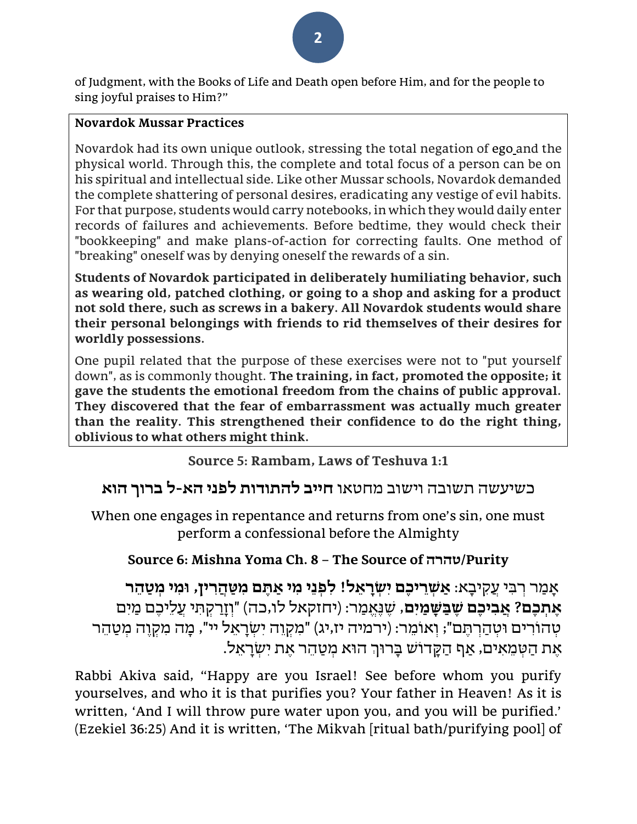of Judgment, with the Books of Life and Death open before Him, and for the people to sing joyful praises to Him?"

#### **Novardok Mussar Practices**

Novardok had its own unique outlook, stressing the total negation of [ego](https://en.wikipedia.org/wiki/Id,_ego_and_super-ego#Ego) and the physical world. Through this, the complete and total focus of a person can be on his spiritual and intellectual side. Like other Mussar schools, Novardok demanded the complete shattering of personal desires, eradicating any vestige of evil habits. For that purpose, students would carry notebooks, in which they would daily enter records of failures and achievements. Before bedtime, they would check their "bookkeeping" and make plans-of-action for correcting faults. One method of "breaking" oneself was by denying oneself the rewards of a sin.

**Students of Novardok participated in deliberately humiliating behavior, such as wearing old, patched clothing, or going to a shop and asking for a product not sold there, such as screws in a bakery. All Novardok students would share their personal belongings with friends to rid themselves of their desires for worldly possessions.**

One pupil related that the purpose of these exercises were not to "put yourself down", as is commonly thought. **The training, in fact, promoted the opposite; it gave the students the emotional freedom from the chains of public approval. They discovered that the fear of embarrassment was actually much greater than the reality. This strengthened their confidence to do the right thing, oblivious to what others might think.**

**Source 5: Rambam, Laws of Teshuva 1:1**

# כשיעשה תשובה וישוב מחטאו **חייב להתודות לפני הא-ל ברוך הוא**

When one engages in repentance and returns from one's sin, one must perform a confessional before the Almighty

# **Source 6: Mishna Yoma Ch. 8 – The Source of טהרה/Purity**

אָמַר רִבִּי עֵקִיבָא: אַשְׁרֵיכֶם יִשְׂרָאֵל! לִפְנֵי מִי אַתֶּם מִשַּׁהֲרִין, וּמִי מִטַּהֵר **ֶא ְׁת ֶכם? ֲא ִבי ֶכם ֶש ַּב ָּש ַמִים**, ש ֶׁ נ ֶׁאֱ מַ ר: )יחזקאל לו,כה( "וְ זָרַ קְ ת ִּ י עֲלֵיכֶׁ ם מַ יִּם ְטְהוֹרִים וּטְהַרְתֵּם"; וְאוֹמֵר: (ירמיה יז,יג) "מִקְוֶה יְשְׂרָאֵל יי", מָה מִקְוֵה מִטַּהֶר .<br>אַת הַטְמֵאִים, אַף הַקֲדוֹשׁ בָּרוּךְ הוּא מִטַּהֵר אֵת יִשְרָאֵל

Rabbi Akiva said, "Happy are you Israel! See before whom you purify yourselves, and who it is that purifies you? Your father in Heaven! As it is written, 'And I will throw pure water upon you, and you will be purified.' (Ezekiel 36:25) And it is written, 'The Mikvah [ritual bath/purifying pool] of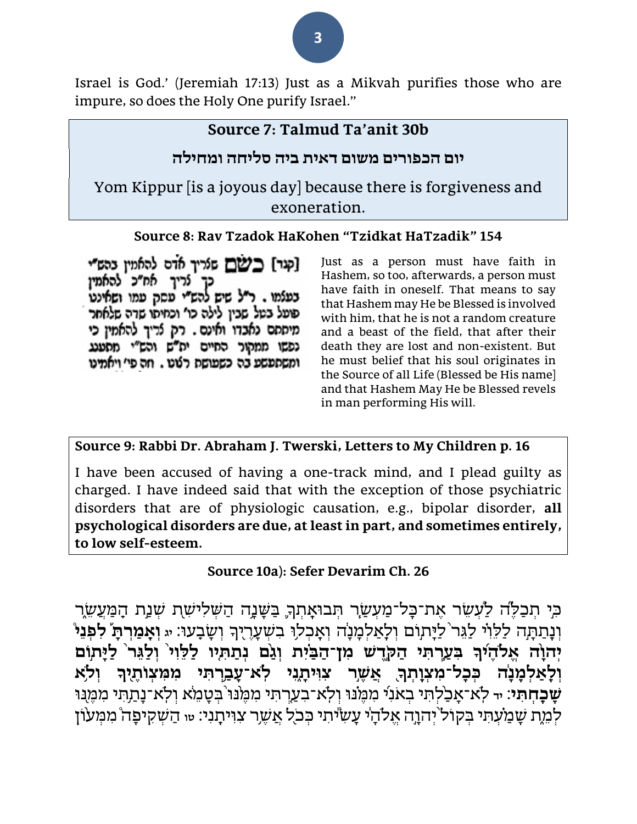Israel is God.' (Jeremiah 17:13) Just as a Mikvah purifies those who are impure, so does the Holy One purify Israel."

#### **Source 7: Talmud Ta'anit 30b**

#### **יום הכפורים משום דאית ביה סליחה ומחילה**

Yom Kippur [is a joyous day] because there is forgiveness and exoneration.

#### **Source 8: Rav Tzadok HaKohen "Tzidkat HaTzadik" 154**

[קנר] בשם שנריך אדם להאמיו בהש"י נריך אח״כ להאמין בעלמו . ר״ל שיש להש״י עסק עמו ושאינט פועל בטל שבין לילה כו' וכחיתו שדה שלאחר מיססם נאבדו ואינם. רק לריך להאמין כי נפשו ממקור החיים יח"ש והש"י מסענג ומשתפשע בה כשפושת רטט . וזה פי' ויאמינו

Just as a person must have faith in Hashem, so too, afterwards, a person must have faith in oneself. That means to say that Hashem may He be Blessed is involved with him, that he is not a random creature and a beast of the field, that after their death they are lost and non-existent. But he must belief that his soul originates in the Source of all Life (Blessed be His name] and that Hashem May He be Blessed revels in man performing His will.

#### **Source 9: Rabbi Dr. Abraham J. Twerski, Letters to My Children p. 16**

I have been accused of having a one-track mind, and I plead guilty as charged. I have indeed said that with the exception of those psychiatric disorders that are of physiologic causation, e.g., bipolar disorder, **all psychological disorders are due, at least in part, and sometimes entirely, to low self-esteem.** 

**Source 10a): Sefer Devarim Ch. 26**

ָּכִי תִכַלְּה לַעָשֶׂר אֶת־כָּל־מַעְשַׂר תִּבוּאָתִךְ בַּשָּׁנָָה הַשִּׁלִישָׁת שִׁנַת הָמַעֲשֶׂר וְנָתַתָּה לַלֵּוִי לַגֵּר לַיָּתְוִם וְלָאַלִמְנָה וְאָבִלוּ בִשְעֲרֶיִךְ וְשָבָעוֹ: « וְ**אָמַרְתָּ לְפִנֵּי** יְהוָה אֱלֹהֶיֹךְ בִעֲרֹתִי הַקְּדֵשׁ מִן־הַבַּיִּת וְגַם נִתַתְיו לַלֵּוִי וְלַגֵּר לַיָּתְוֹם וְלָאַלְמָנֶה בְּכָל־מִצְוָתְךָ אֲשֶׁר צוִיתָגִי לְא־עָבְרָתִי מִמִצְוֹתֶיָךָ וְלֹא **ְשָׁבָחְתִּי**: ידּ לְא־אָבַ<sup>ֹּ</sup>לְתִּי בְאֹנִי מִמֶּוֹנּוּ וְלְא־בָעֲרְתִּי מִמֶּוּוּ בְטָמֵא וְלְא־נָתַתִּי מִמֶּוּוּ לְמֶת שָׁמַעִׁתִּי בִקוֹל<sup>י</sup>יְהוָה אֵלֹהָי עָשִׂיֹּתִי כִּכֹל אֲשֶׁר צִוִּּיתָנִי: <sub>י</sub>ָּי הַשְׁקִיפָה מִמְעֹוֹן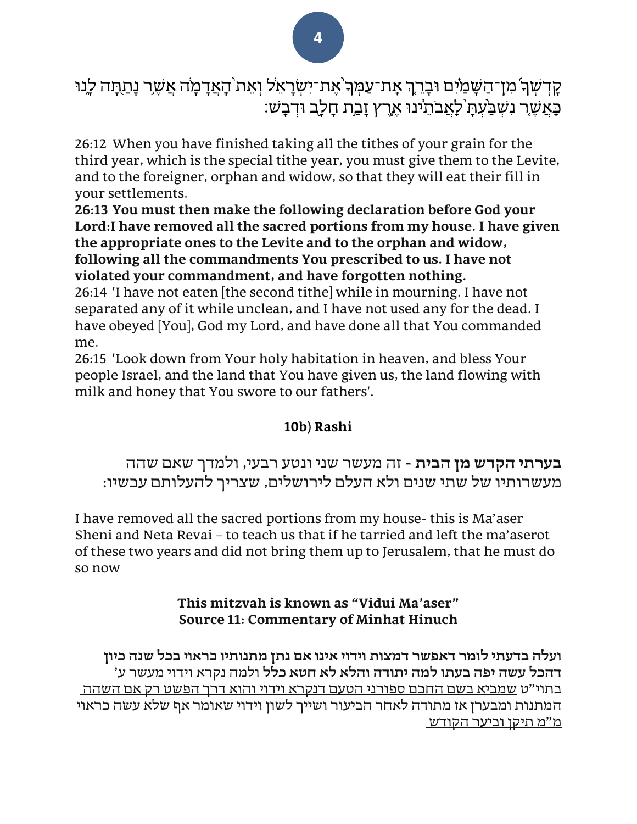קַדְשִׁךְ מִן־הַשָּׁמַיִּם וּבָרֶךְ אָת־עַמְּךְ אֵת־יִשְׂרָאֵל וְאֵת<sup>ְ</sup>הָאֲדָמָה אֲשֶר נָתַתָּה לֵנוּ ְּכָ*אֲשֶׁר נִשְׁבַּעָּתַ* לָאֲבֹתֵינוּ אֶרֶץ זַבֲת חַלַב וּדְבָשׁ:

26:12 When you have finished taking all the tithes of your grain for the third year, which is the special tithe year, you must give them to the Levite, and to the foreigner, orphan and widow, so that they will eat their fill in your settlements .

**26:13 You must then make the following declaration before God your Lord:I have removed all the sacred portions from my house. I have given the appropriate ones to the Levite and to the orphan and widow, following all the commandments You prescribed to us. I have not violated your commandment, and have forgotten nothing .**

26:14 'I have not eaten [the second tithe] while in mourning. I have not separated any of it while unclean, and I have not used any for the dead. I have obeyed [You], God my Lord, and have done all that You commanded me.

26:15 'Look down from Your holy habitation in heaven, and bless Your people Israel, and the land that You have given us, the land flowing with milk and honey that You swore to our fathers'.

#### **10b) Rashi**

**בערתי הקדש מן הבית** - זה מעשר שני ונטע רבעי, ולמדך שאם שהה מעשרותיו של שתי שנים ולא העלם לירושלים, שצריך להעלותם עכשיו:

I have removed all the sacred portions from my house- this is Ma'aser Sheni and Neta Revai – to teach us that if he tarried and left the ma'aserot of these two years and did not bring them up to Jerusalem, that he must do so now

#### **This mitzvah is known as "Vidui Ma'aser" Source 11: Commentary of Minhat Hinuch**

**ועלה בדעתי לומר דאפשר דמצות וידוי אינו אם נתן מתנותיו כראוי בכל שנה כיון דהכל עשה יפה בעתו למה יתודה והלא לא חטא כלל** ולמה נקרא וידוי מעשר ע' בתוי"ט שמביא בשם החכם ספורני הטעם דנקרא וידוי והוא דרך הפשט רק אם השהה המתנות ומבערן אז מתודה לאחר הביעור ושייך לשון וידוי שאומר אף שלא עשה כראוי מ"מ תיקן וביער הקודש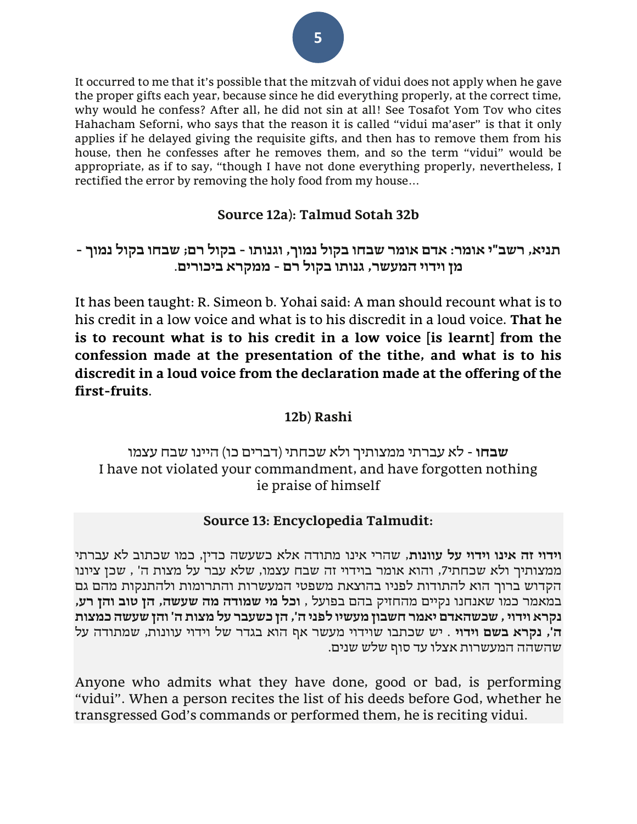It occurred to me that it's possible that the mitzvah of vidui does not apply when he gave the proper gifts each year, because since he did everything properly, at the correct time, why would he confess? After all, he did not sin at all! See Tosafot Yom Tov who cites Hahacham Seforni, who says that the reason it is called "vidui ma'aser" is that it only applies if he delayed giving the requisite gifts, and then has to remove them from his house, then he confesses after he removes them, and so the term "vidui" would be appropriate, as if to say, "though I have not done everything properly, nevertheless, I rectified the error by removing the holy food from my house…

#### **Source 12a): Talmud Sotah 32b**

#### **תניא, רשב"י אומר: אדם אומר שבחו בקול נמוך, וגנותו - בקול רם; שבחו בקול נמוך - מן וידוי המעשר, גנותו בקול רם - ממקרא ביכורים**.

It has been taught: R. Simeon b. Yohai said: A man should recount what is to his credit in a low voice and what is to his discredit in a loud voice. **That he is to recount what is to his credit in a low voice [is learnt] from the confession made at the presentation of the tithe, and what is to his discredit in a loud voice from the declaration made at the offering of the first-fruits**.

#### **12b) Rashi**

#### **שבחו** - לא עברתי ממצותיך ולא שכחתי )דברים כו( היינו שבח עצמו I have not violated your commandment, and have forgotten nothing ie praise of himself

#### **Source 13: Encyclopedia Talmudit:**

**וידוי זה אינו וידוי על עוונות**, שהרי אינו מתודה אלא כשעשה כדין, כמו שכתוב לא עברתי ממצותיך ולא שכחתי,7 והוא אומר בוידוי זה שבח עצמו, שלא עבר על מצות ה' , שכן ציונו הקדוש ברוך הוא להתודות לפניו בהוצאת משפטי המעשרות והתרומות ולהתנקות מהם גם במאמר כמו שאנחנו נקיים מהחזיק בהם בפועל , **וכל מי שמודה מה שעשה, הן טוב והן רע, נקרא וידוי , שכשהאדם יאמר חשבון מעשיו לפני ה', הן כשעבר על מצות ה' והן שעשה כמצות ה', נקרא בשם וידוי** . יש שכתבו שוידוי מעשר אף הוא בגדר של וידוי עוונות, שמתודה על שהשהה המעשרות אצלו עד סוף שלש שנים .

Anyone who admits what they have done, good or bad, is performing "vidui". When a person recites the list of his deeds before God, whether he transgressed God's commands or performed them, he is reciting vidui.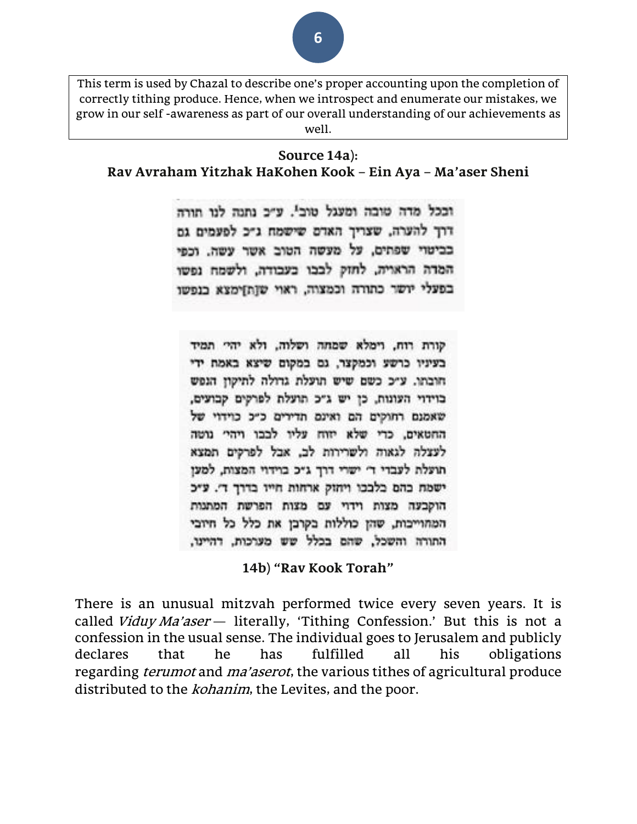This term is used by Chazal to describe one's proper accounting upon the completion of correctly tithing produce. Hence, when we introspect and enumerate our mistakes, we grow in our self -awareness as part of our overall understanding of our achievements as well.

#### **Source 14a): Rav Avraham Yitzhak HaKohen Kook – Ein Aya – Ma'aser Sheni**

וככל מדה טובה ומעגל טובי. ע״כ נתנה לנו תורה דרך להערה, שצריך האדם שישמח ג״כ לפעמים גם בביטוי שפתים, על מעשה הטוב אשר עשה. וכפי המדה הראויה, לחזק לבבו בעבודה, ולשמח נפשו בפעלי יושר כתורה וכמצוה, ראוי שןתן מצא בנפשו

קורת רוח, וימלא שמחה ושלוה, ולא יהיי תמיד בעיניו כרשע וכמקצר, גם במקום שיצא באמת ידי חובתו. ע״כ כשם שיש תועלת גדולה לתיקון הגפש בוידוי העונות, כן יש ג״כ תועלת לפרקים קבועים, שאמנם רחוקים הם ואינם תדירים כ״כ כוידוי של החטאים, כרי שלא יזוח עליו לבבו ויהי גוטה לעצלה לגאוה ולשרירות לב, אבל לפרקים תמצא תועלת לעבדי די ישרי דרך גיכ בוידוי המצות, למען ישמת כהם כלככו ויתוק ארחות חייו בדרך ד׳. ע״כ הוקבעה מצות וידוי עם מצות הפרשת המתנות המתוייכות, שהן כוללות בקרבן את כלל כל חיובי התורה והשכל, שהם בכלל שש מערכות, דהיינו,

**14b) "Rav Kook Torah"**

There is an unusual mitzvah performed twice every seven years. It is called Viduy Ma'aser - literally, 'Tithing Confession.' But this is not a confession in the usual sense. The individual goes to Jerusalem and publicly declares that he has fulfilled all his obligations regarding *terumot* and *ma'aserot*, the various tithes of agricultural produce distributed to the *kohanim*, the Levites, and the poor.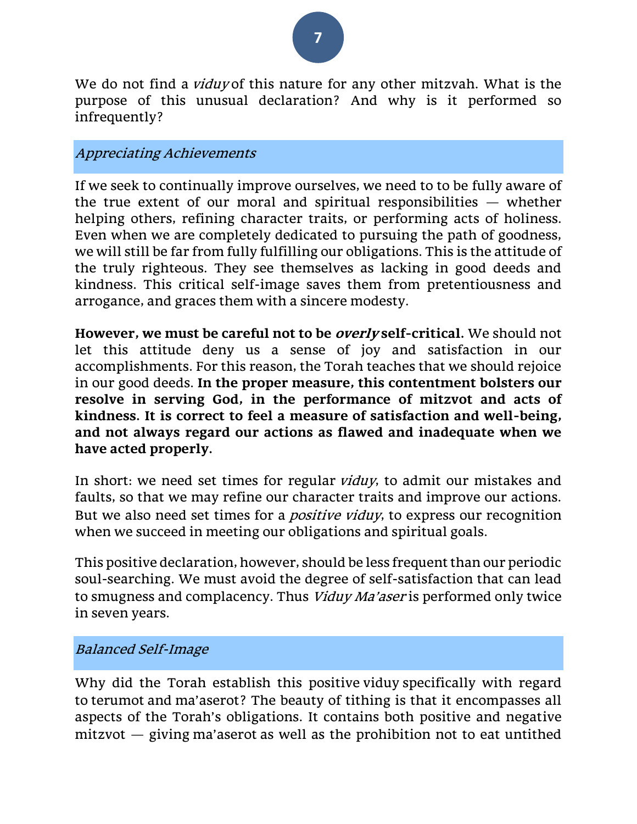

We do not find a *viduy* of this nature for any other mitzvah. What is the purpose of this unusual declaration? And why is it performed so infrequently?

#### Appreciating Achievements

If we seek to continually improve ourselves, we need to to be fully aware of the true extent of our moral and spiritual responsibilities  $-$  whether helping others, refining character traits, or performing acts of holiness. Even when we are completely dedicated to pursuing the path of goodness, we will still be far from fully fulfilling our obligations. This is the attitude of the truly righteous. They see themselves as lacking in good deeds and kindness. This critical self-image saves them from pretentiousness and arrogance, and graces them with a sincere modesty.

**However, we must be careful not to be overly self-critical.** We should not let this attitude deny us a sense of joy and satisfaction in our accomplishments. For this reason, the Torah teaches that we should rejoice in our good deeds. **In the proper measure, this contentment bolsters our resolve in serving God, in the performance of mitzvot and acts of kindness. It is correct to feel a measure of satisfaction and well-being, and not always regard our actions as flawed and inadequate when we have acted properly.**

In short: we need set times for regular viduy, to admit our mistakes and faults, so that we may refine our character traits and improve our actions. But we also need set times for a *positive viduy*, to express our recognition when we succeed in meeting our obligations and spiritual goals.

This positive declaration, however, should be less frequent than our periodic soul-searching. We must avoid the degree of self-satisfaction that can lead to smugness and complacency. Thus Viduy Ma'aser is performed only twice in seven years.

#### Balanced Self-Image

Why did the Torah establish this positive viduy specifically with regard to terumot and ma'aserot? The beauty of tithing is that it encompasses all aspects of the Torah's obligations. It contains both positive and negative mitzvot — giving ma'aserot as well as the prohibition not to eat untithed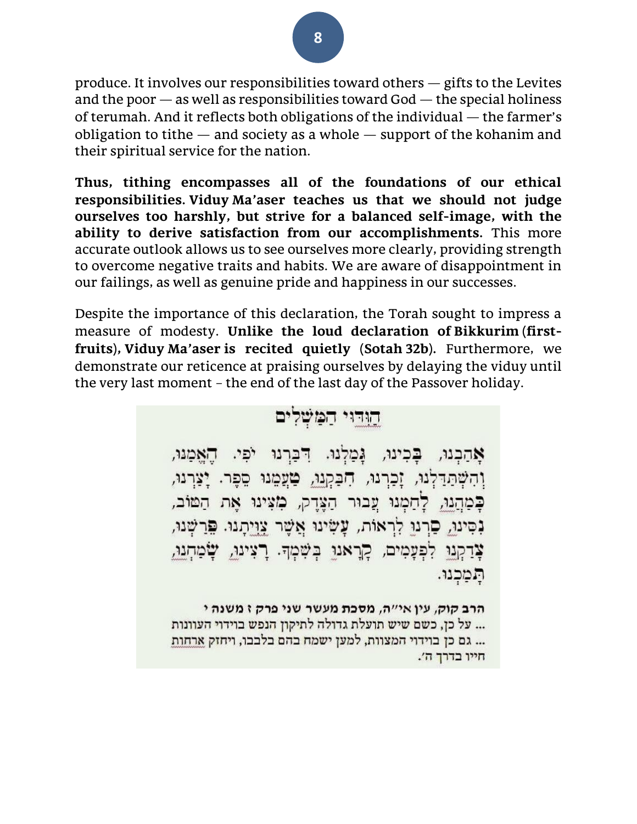produce. It involves our responsibilities toward others — gifts to the Levites and the poor  $-$  as well as responsibilities toward God  $-$  the special holiness of terumah. And it reflects both obligations of the individual — the farmer's obligation to tithe  $-$  and society as a whole  $-$  support of the kohanim and their spiritual service for the nation.

**Thus, tithing encompasses all of the foundations of our ethical responsibilities. Viduy Ma'aser teaches us that we should not judge ourselves too harshly, but strive for a balanced self-image, with the ability to derive satisfaction from our accomplishments.** This more accurate outlook allows us to see ourselves more clearly, providing strength to overcome negative traits and habits. We are aware of disappointment in our failings, as well as genuine pride and happiness in our successes.

Despite the importance of this declaration, the Torah sought to impress a measure of modesty. **Unlike the loud declaration of Bikkurim (firstfruits), Viduy Ma'aser is recited quietly (Sotah 32b).** Furthermore, we demonstrate our reticence at praising ourselves by delaying the viduy until the very last moment – the end of the last day of the Passover holiday.



חייו בדרך ה׳.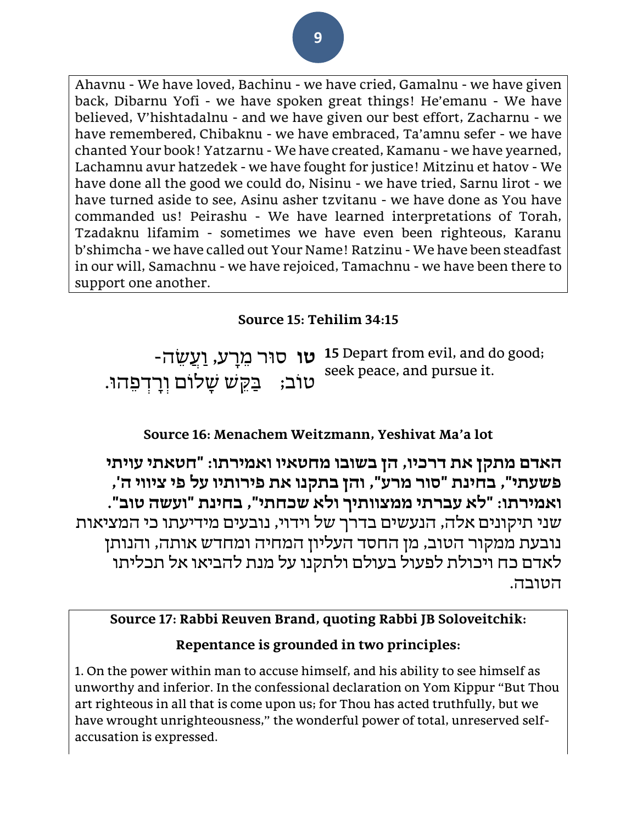Ahavnu - We have loved, Bachinu - we have cried, Gamalnu - we have given back, Dibarnu Yofi - we have spoken great things! He'emanu - We have believed, V'hishtadalnu - and we have given our best effort, Zacharnu - we have remembered, Chibaknu - we have embraced, Ta'amnu sefer - we have chanted Your book! Yatzarnu - We have created, Kamanu - we have yearned, Lachamnu avur hatzedek - we have fought for justice! Mitzinu et hatov - We have done all the good we could do, Nisinu - we have tried, Sarnu lirot - we have turned aside to see, Asinu asher tzvitanu - we have done as You have commanded us! Peirashu - We have learned interpretations of Torah, Tzadaknu lifamim - sometimes we have even been righteous, Karanu b'shimcha -we have called out Your Name! Ratzinu - We have been steadfast in our will, Samachnu - we have rejoiced, Tamachnu - we have been there to support one another.

## **Source 15: Tehilim 34:15**

-**טו** סור מֵרָע, וַעֲשֶׂה **1**5 Depart from evil, and do good; טוֹב; ַבַּקֵשׁ שַלוֹם וְרַדְפָהוּ. seek peace, and pursue it.

## **Source 16: Menachem Weitzmann, Yeshivat Ma'a lot**

**האדם מתקן את דרכיו, הן בשובו מחטאיו ואמירתו: "חטאתי עויתי פשעתי", בחינת "סור מרע", והן בתקנו את פירותיו על פי ציווי ה', ואמירתו: "לא עברתי ממצוותיך ולא שכחתי", בחינת "ועשה טוב".** שני תיקונים אלה, הנעשים בדרך של וידוי, נובעים מידיעתו כי המציאות נובעת ממקור הטוב, מן החסד העליון המחיה ומחדש אותה, והנותן לאדם כח ויכולת לפעול בעולם ולתקנו על מנת להביאו אל תכליתו הטובה .

## **Source 17: Rabbi Reuven Brand, quoting Rabbi JB Soloveitchik:**

#### **Repentance is grounded in two principles:**

1. On the power within man to accuse himself, and his ability to see himself as unworthy and inferior. In the confessional declaration on Yom Kippur "But Thou art righteous in all that is come upon us; for Thou has acted truthfully, but we have wrought unrighteousness," the wonderful power of total, unreserved selfaccusation is expressed.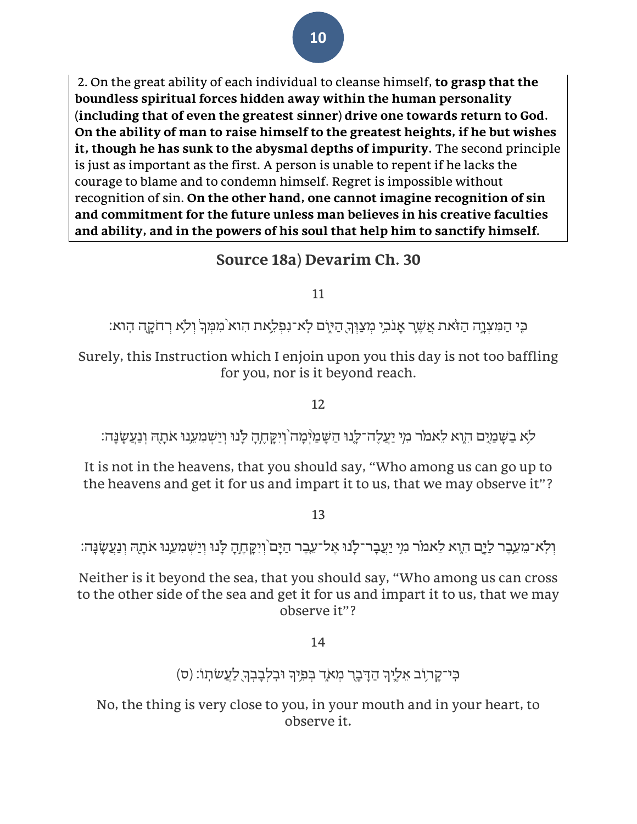2. On the great ability of each individual to cleanse himself, **to grasp that the boundless spiritual forces hidden away within the human personality (including that of even the greatest sinner) drive one towards return to God. On the ability of man to raise himself to the greatest heights, if he but wishes it, though he has sunk to the abysmal depths of impurity.** The second principle is just as important as the first. A person is unable to repent if he lacks the courage to blame and to condemn himself. Regret is impossible without recognition of sin. **On the other hand, one cannot imagine recognition of sin and commitment for the future unless man believes in his creative faculties and ability, and in the powers of his soul that help him to sanctify himself.** 

# **Source 18a) Devarim Ch. 30**

11

ָּכֶּי הַמִּצְוָה הַזֹּאת <u>אַשֶׁ</u>ר אָנֹכִי מִצַוּךְ הַיֹּיֶם לְא־נִפְלָאת הִוא מִמִּךְ וִלֹא רְחֹקֶה הְוא:

Surely, this Instruction which I enjoin upon you this day is not too baffling for you, nor is it beyond reach.

12

ֹלֹא בַשֶּׁמַיֶּם הָוָא לֵאמֹר מִי יַעֲלֶה־לֵנוּ הַשָּׁמַיְּמַה וְיִקַחֶהָ לַנוּ וְיַשְׁמִעֲנוּ אֹתָה וְנַעֲשֶׂנֵה:

It is not in the heavens, that you should say, "Who among us can go up to the heavens and get it for us and impart it to us, that we may observe it"?

13

וְלְא־מֵעֵבֶר לַיָּם הִוָא לֵאמֹר מִי יַעֲבָר־לָנוּ אֶל־עֵבֶר הַיָּם וְיִקָּחֶהָ לָנוּ וְיַשְׁמִעֵנוּ אֹתָהּ וְנַעֲשָׂנָָה:

Neither is it beyond the sea, that you should say, "Who among us can cross to the other side of the sea and get it for us and impart it to us, that we may observe it"?

14

(ס) כִּי־קָרְוֹב אֵלֶיךָ הַדָּבָר מִאֹדְ בִּפְיִךְ וּבְלִבְבְךָ לַעֲשֹתְוּ: (ס

No, the thing is very close to you, in your mouth and in your heart, to observe it **.**